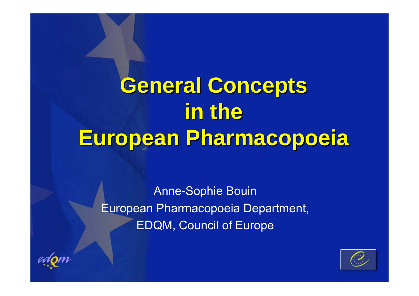# **General Concepts General Concepts in the in the European Pharmacopoeia European Pharmacopoeia**

Anne-Sophie Bouin European Pharmacopoeia Department, EDQM, Council of Europe



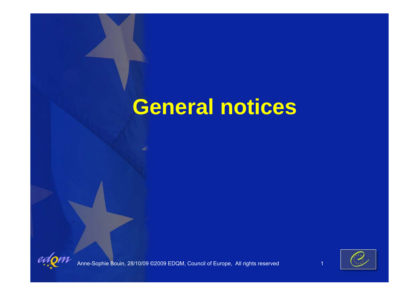### **General notices**





Anne-Sophie Bouin, 28/10/09 ©2009 EDQM, Council of Europe, All rights reserved 1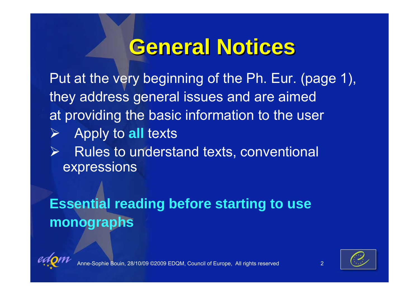### **General Notices General Notices**

Put at the very beginning of the Ph. Eur. (page 1), they address general issues and are aimed at providing the basic information to the user

- Apply to **all** texts
- ¾ Rules to understand texts, conventional expressions

#### **Essential reading before starting to use monographs**



¾



28/10/09 ©2009 EDQM, Council of Europe, All rights reserved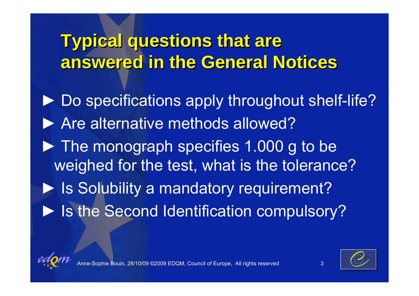### **Typical questions that are Typical questions that are answered in the General Notices answered in the General Notices**

▶ Do specifications apply throughout shelf-life? ▶ Are alternative methods allowed? ► The monograph specifies 1.000 g to be weighed for the test, what is the tolerance? ▶ Is Solubility a mandatory requirement? ▶ Is the Second Identification compulsory?





28/10/09 ©2009 EDQM, Council of Europe, All rights reserved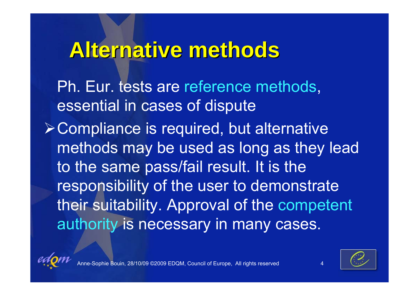### **Alternative methods Alternative methods**

Ph. Eur. tests are reference methods, essential in cases of dispute

¾Compliance is required, but alternative methods may be used as long as they lead to the same pass/fail result. It is the responsibility of the user to demonstrate their suitability. Approval of the competent authority is necessary in many cases.





Bouin, 28/10/09 ©2009 EDQM, Council of Europe, All rights reserved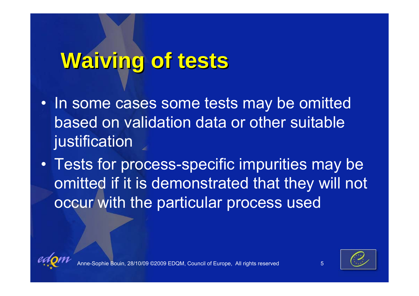## **Waiving of tests Waiving of tests**

- In some cases some tests may be omitted based on validation data or other suitable justification
- • Tests for process-specific impurities may be omitted if it is demonstrated that they will not occur with the particular process used





28/10/09 ©2009 EDQM, Council of Europe, All rights reserved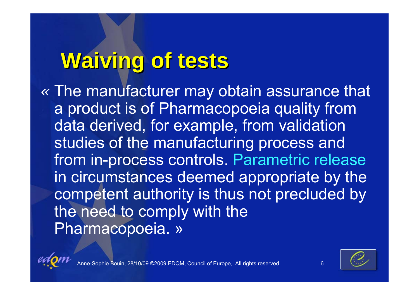# **Waiving of tests Waiving of tests**

*«* The manufacturer may obtain assurance that a product is of Pharmacopoeia quality from data derived, for example, from validation studies of the manufacturing process and from in-process controls. Parametric release in circumstances deemed appropriate by the competent authority is thus not precluded by the need to comply with the Pharmacopoeia. »





e Bouin, 28/10/09 ©2009 EDQM, Council of Europe, All rights reserved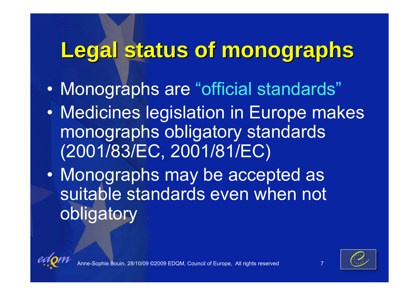## **Legal status of monographs Legal status of monographs**

- $\bullet$ Monographs are "official standards"
- $\bullet$  Medicines legislation in Europe makes monographs obligatory standards (2001/83/EC, 2001/81/EC)
- $\bullet$  Monographs may be accepted as suitable standards even when not obligatory





7

Bouin, 28/10/09 ©2009 EDQM, Council of Europe, All rights reserved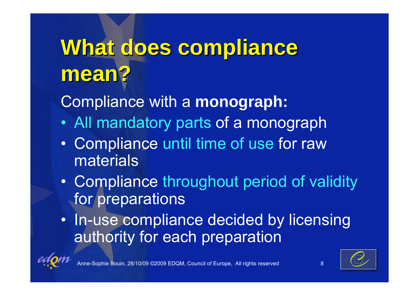# **What does compliance What does compliance mean? mean?**

### Compliance with a **monograph:**

- $\bullet$ All mandatory parts of a monograph
- $\bullet$  Compliance until time of use for raw materials
- • Compliance throughout period of validity for preparations
- In-use compliance decided by licensing authority for each preparation



e Bouin, 28/10/09 ©2009 EDQM, Council of Europe, All rights reserved



8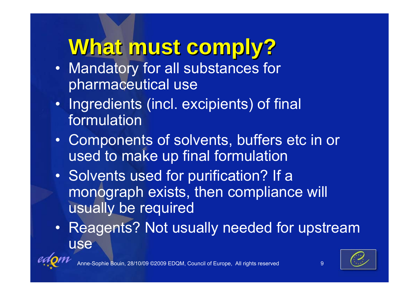## **What must comply? What must comply?**

- Mandatory for all substances for pharmaceutical use
- Ingredients (incl. excipients) of final formulation
- Components of solvents, buffers etc in or used to make up final formulation
- Solvents used for purification? If a monograph exists, then compliance will usually be required
- Reagents? Not usually needed for upstream use





9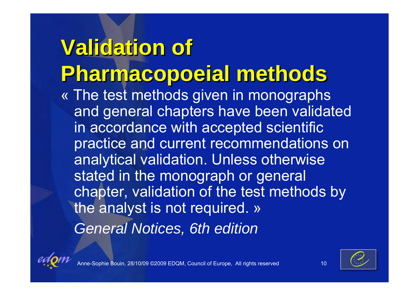**Validation of Validation of Pharmacopoeial methods Pharmacopoeial methods** « The test methods given in monographs and general chapters have been validated in accordance with accepted scientific practice and current recommendations on analytical validation. Unless otherwise stated in the monograph or general chapter, validation of the test methods by the analyst is not required. » *General Notices, 6th edition*





e Bouin, 28/10/09 ©2009 EDQM, Council of Europe, All rights reserved 10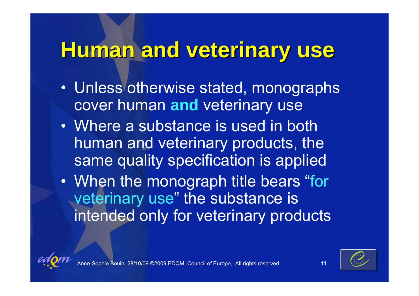### **Human and veterinary use Human and veterinary use**

- Unless otherwise stated, monographs cover human **and** veterinary use
- Where a substance is used in both human and veterinary products, the same quality specification is applied
- $\bullet$ • When the monograph title bears "for veterinary use " the substance is intended only for veterinary products





Bouin, 28/10/09 ©2009 EDQM, Council of Europe, All rights reserved 11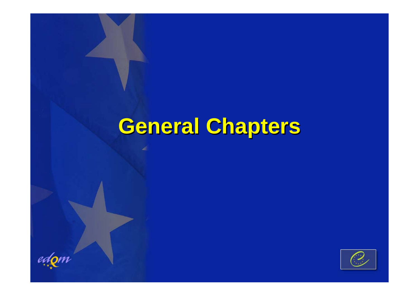## **General Chapters General Chapters**

 $edQm$ 

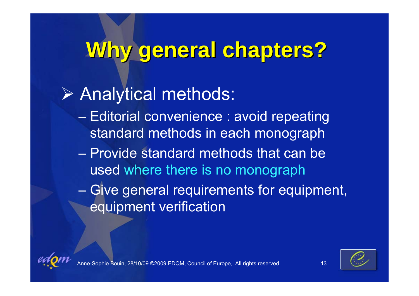### **Why general chapters? Why general chapters?**

### ¾ Analytical methods:

- Editorial convenience : avoid repeating standard methods in each monograph
- Provide standard methods that can be used where there is no monograph
- $-$  Give general requirements for equipment,  $\overline{\phantom{a}}$ equipment verification





Bouin, 28/10/09 ©2009 EDQM, Council of Europe, All rights reserved 13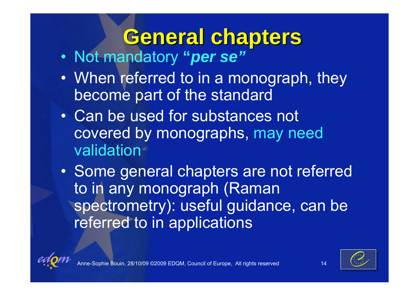# **General chapters General chapters**

- Not mandatory **"***per se"*
- $\bullet$  When referred to in a monograph, they become part of the standard
- Can be used for substances not covered by monographs, may need validation
- $\bullet$  Some general chapters are not referred to in any monograph (Raman spectrometry): useful guidance, can be referred to in applications



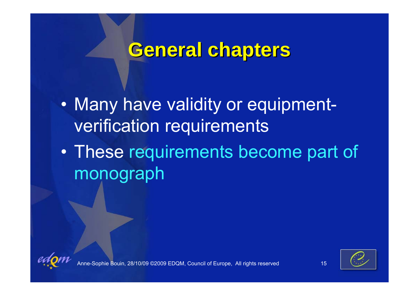### **General chapters General chapters**

 $\bullet$ • Many have validity or equipmentverification requirements

 $\bullet$  These requirements become part of monograph





hie Bouin, 28/10/09 ©2009 EDQM, Council of Europe, All rights reserved 15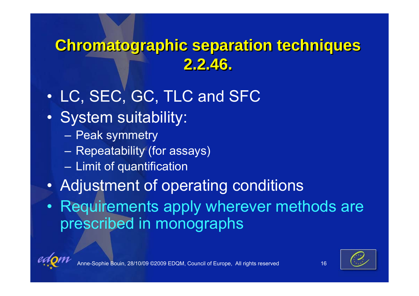### **Chromatographic separation techniques Chromatographic separation techniques 2.2.46. 2.2.46.**

- $\bullet$ LC, SEC, GC, TLC and SFC
- $\bullet$  System suitability:
	- Peak symmetry
	- $-$  Repeatability (for assays)
	- $-$  Limit of quantification
- $\bullet$ Adjustment of operating conditions
- Requirements apply wherever methods are prescribed in monographs

![](_page_16_Picture_8.jpeg)

![](_page_16_Picture_9.jpeg)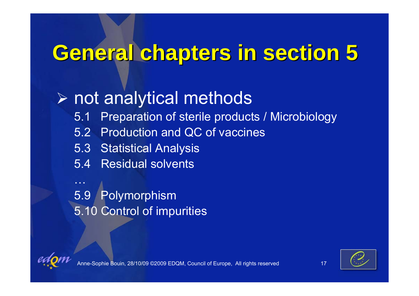## **General chapters in section 5 General chapters in section 5**

### ¾ not analytical methods

- 5.1 Preparation of sterile products / Microbiology
- 5.2 Production and QC of vaccines
- 5.3 Statistical Analysis
- 5.4 Residual solvents

5.9 Polymorphism 5.10 Control of impurities

![](_page_17_Picture_7.jpeg)

…

![](_page_17_Picture_8.jpeg)

Bouin, 28/10/09 ©2009 EDQM, Council of Europe, All rights reserved 17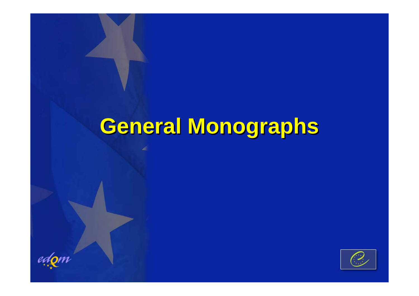### **General Monographs General Monographs**

 $edQm$ 

![](_page_18_Picture_2.jpeg)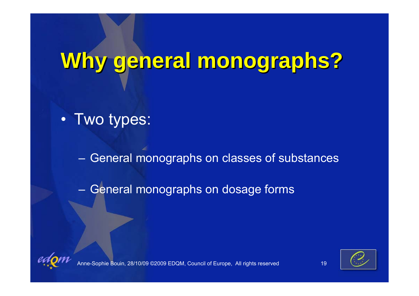# **Why general monographs? Why general monographs?**

• Two types:

General monographs on classes of substances

–– General monographs on dosage forms

![](_page_19_Picture_4.jpeg)

![](_page_19_Picture_5.jpeg)

Anne-Sophie Bouin, 28/10/09 ©2009 EDQM, Council of Europe, All rights reserved 19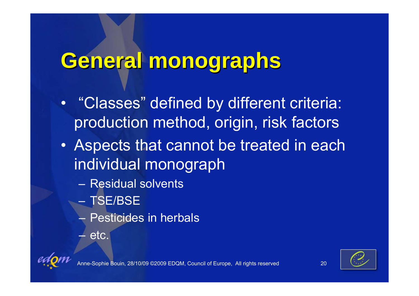### **General monographs General monographs**

- $\bullet$  "Classes" defined by different criteria: production method, origin, risk factors
- Aspects that cannot be treated in each individual monograph
	- Residual solvents
	- TSE/BSE
	- Pesticides in herbals
	- $\mathcal{L}_{\mathcal{A}}$ etc.

![](_page_20_Picture_7.jpeg)

![](_page_20_Picture_8.jpeg)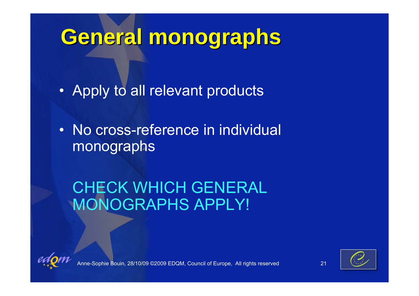## **General monographs General monographs**

• Apply to all relevant products

• No cross-reference in individual monographs

CHECK WHICH GENERAL MONOGRAPHS APPLY!

![](_page_21_Picture_4.jpeg)

![](_page_21_Picture_5.jpeg)

hie Bouin, 28/10/09 ©2009 EDQM, Council of Europe, All rights reserved 21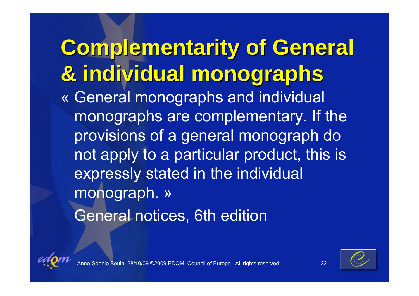**Complementarity of General Complementarity of General & individual monographs & individual monographs** « General monographs and individual monographs are complementary. If the provisions of a general monograph do not apply to a particular product, this is expressly stated in the individual monograph. » General notices, 6th edition

![](_page_22_Picture_1.jpeg)

![](_page_22_Picture_2.jpeg)

Anne-Sophie Bouin, 28/10/09 ©2009 EDQM, Council of Europe, All rights reserved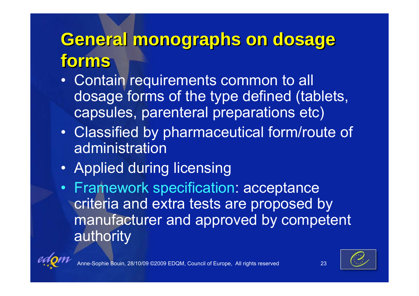### **General monographs on dosage General monographs on dosage forms forms**

- Contain requirements common to all dosage forms of the type defined (tablets, capsules, parenteral preparations etc)
- Classified by pharmaceutical form/route of administration
- Applied during licensing
- Framework specification: acceptance criteria and extra tests are proposed by manufacturer and approved by competent authority

![](_page_23_Picture_5.jpeg)

![](_page_23_Picture_6.jpeg)

![](_page_23_Picture_8.jpeg)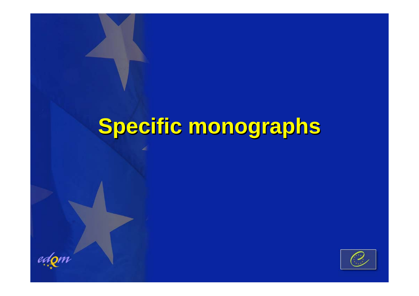### **Specific monographs Specific monographs**

 $edQm$ 

![](_page_24_Picture_2.jpeg)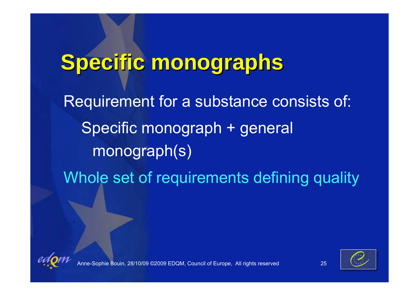# **Specific monographs Specific monographs** Requirement for a substance consists of: Specific monograph + general monograph(s) Whole set of requirements defining quality

![](_page_25_Picture_1.jpeg)

![](_page_25_Picture_2.jpeg)

Anne-Sophie Bouin, 28/10/09 ©2009 EDQM, Council of Europe, All rights reserved 25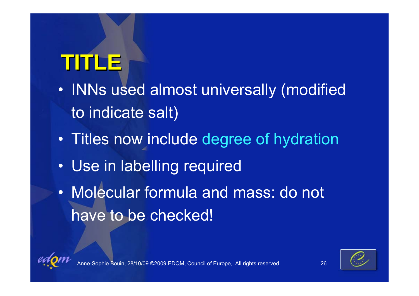# **TITLE**

- $\bullet$ • INNs used almost universally (modified to indicate salt)
- $\bullet$ Titles now include degree of hydration
- •Use in labelling required
- Molecular formula and mass: do not have to be checked!

![](_page_26_Picture_5.jpeg)

![](_page_26_Picture_6.jpeg)

28/10/09 ©2009 EDQM, Council of Europe, All rights reserved 26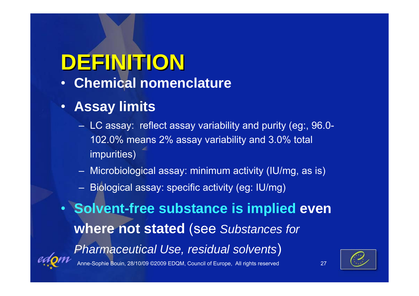# **DEFINITION DEFINITION**

 $\bullet$ **Chemical nomenclature**

#### • **Assay limits**

- LC assay: reflect assay variability and purity (eg:, 96.0- 102.0% means 2% assay variability and 3.0% total impurities)
- Microbiological assay: minimum activity (IU/mg, as is)
- Biological assay: specific activity (eg: IU/mg)

• **Solvent-free substance is implied even where not stated** (see *Substances for Pharmaceutical Use, residual solvents* )

![](_page_27_Picture_7.jpeg)

phie Bouin, 28/10/09 ©2009 EDQM, Council of Europe, All rights reserved 27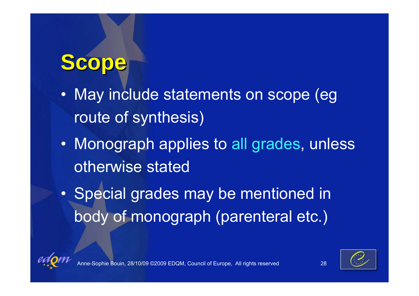# **Scope**

- • May include statements on scope (eg route of synthesis)
- Monograph applies to all grades, unless otherwise stated
- $\bullet$ • Special grades may be mentioned in body of monograph (parenteral etc.)

![](_page_28_Picture_4.jpeg)

![](_page_28_Picture_5.jpeg)

e Bouin, 28/10/09 ©2009 EDQM, Council of Europe, All rights reserved 28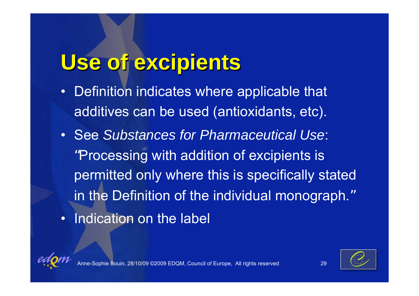## **Use of excipients Use of excipients**

- • Definition indicates where applicable that additives can be used (antioxidants, etc).
- See *Substances for Pharmaceutical Use*: "Processing with addition of excipients is permitted only where this is specifically stated in the Definition of the individual monograph. "• Indication on the label

![](_page_29_Picture_3.jpeg)

![](_page_29_Picture_4.jpeg)

![](_page_29_Picture_5.jpeg)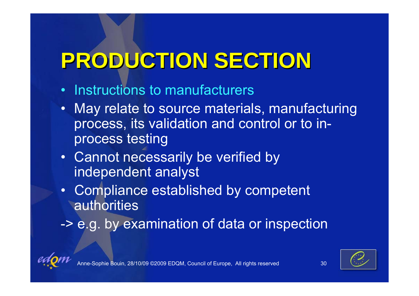# **PRODUCTION SECTION PRODUCTION SECTION**

- Instructions to manufacturers
- May relate to source materials, manufacturing process, its validation and control or to inprocess testing
- Cannot necessarily be verified by independent analyst
- Compliance established by competent authorities
- -> e.g. by examination of data or inspection

![](_page_30_Picture_6.jpeg)

![](_page_30_Picture_7.jpeg)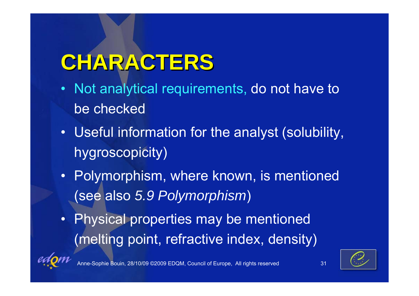# **CHARACTERS CHARACTERS**

- Not analytical requirements, do not have to be checked
- Useful information for the analyst (solubility, hygroscopicity)
- Polymorphism, where known, is mentioned (see also *5.9 Polymorphism* )
- Physical properties may be mentioned (melting point, refractive index, density)

![](_page_31_Picture_5.jpeg)

Anne-Sophie Bouin, 28/10/09 ©2009 EDQM, Council of Europe, All rights reserved 31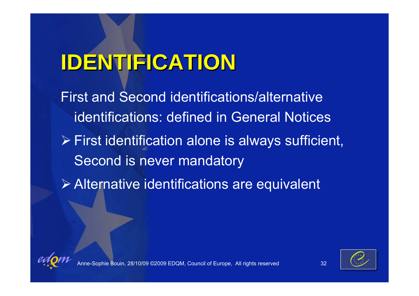# **IDENTIFICATION IDENTIFICATION**

First and Second identifications/alternative identifications: defined in General Notices

- ¾ First identification alone is always sufficient, Second is never mandatory
- ¾ Alternative identifications are equivalent

![](_page_32_Picture_4.jpeg)

![](_page_32_Picture_5.jpeg)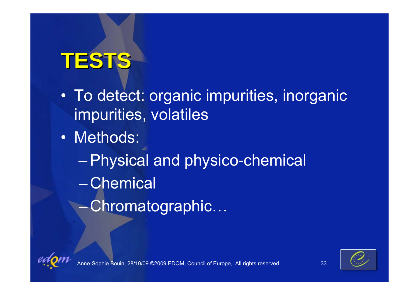# **TESTS**

- To detect: organic impurities, inorganic impurities, volatiles
- Methods:
	- –Physical and physico-chemical – Chemical
		- Chromatographic…

![](_page_33_Picture_5.jpeg)

![](_page_33_Picture_6.jpeg)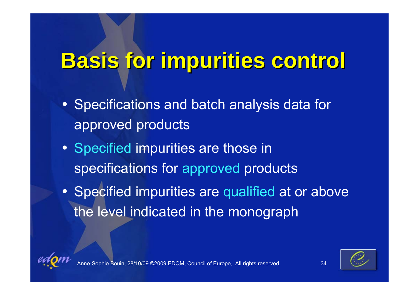# **Basis for impurities control Basis for impurities control**

- Specifications and batch analysis data for approved products
- Specified impurities are those in specifications for approved products
- Specified impurities are qualified at or above the level indicated in the monograph

![](_page_34_Picture_4.jpeg)

![](_page_34_Picture_5.jpeg)

Anne-Sole Bouin, 28/10/09 ©2009 EDQM, Council of Europe, All rights reserved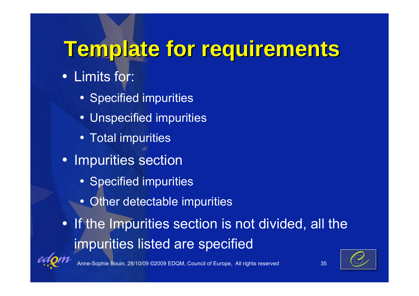## **Template for requirements Template for requirements**

- Limits for:
	- Specified impurities
	- Unspecified impurities
	- Total impurities
- Impurities section
	- Specified impurities
	- Other detectable impurities
- If the Impurities section is not divided, all the impurities listed are specified

![](_page_35_Picture_9.jpeg)

anne-Souin, 28/10/09 ©2009 EDQM, Council of Europe, All rights reserved 35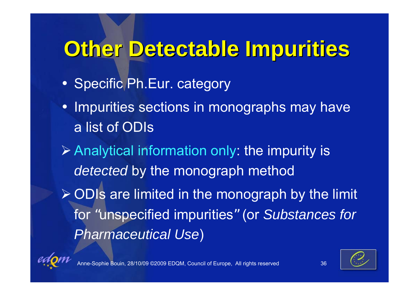## **Other Detectable Impurities Other Detectable Impurities**

- Specific Ph.Eur. category
- Impurities sections in monographs may have a list of ODIs
- ¾ Analytical information only: the impurity is *detected* by the monograph method ¾ ODIs are limited in the monograph by the limit for "unspecified impurities " (or *Substances for Pharmaceutical Use* )

![](_page_36_Picture_4.jpeg)

e Bouin, 28/10/09 ©2009 EDQM, Council of Europe, All rights reserved 36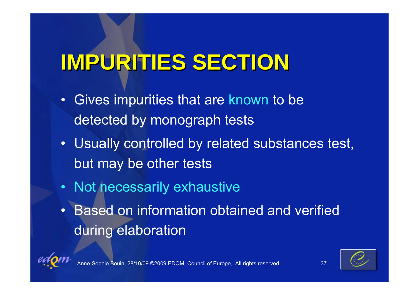# **IMPURITIES SECTION IMPURITIES SECTION**

- • Gives impurities that are known to be detected by monograph tests
- Usually controlled by related substances test, but may be other tests
- Not necessarily exhaustive
- • Based on information obtained and verified during elaboration

![](_page_37_Picture_5.jpeg)

Bouin, 28/10/09 ©2009 EDQM, Council of Europe, All rights reserved 37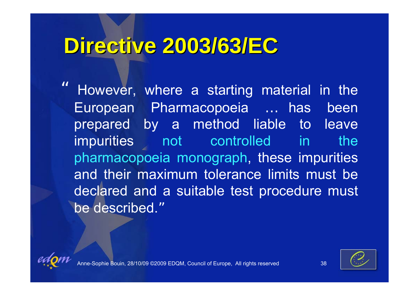### **Directive 2003/63/EC Directive 2003/63/EC**

" However, where a starting material in the European Pharmacopoeia … has been prepared by a method liable to leave impurities not controlled in the pharmacopoeia monograph, these impurities and their maximum tolerance limits must be declared and a suitable test procedure must be described. "

![](_page_38_Picture_2.jpeg)

![](_page_38_Picture_3.jpeg)

![](_page_38_Picture_5.jpeg)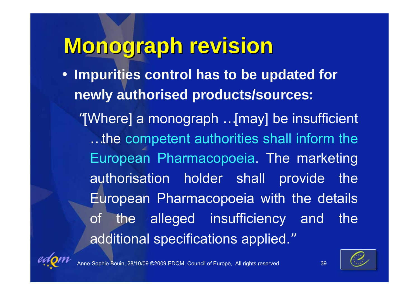### **Monograph revision Monograph revision**

• **Impurities control has to be updated for newly authorised products/sources:**

"[Where] a monograph … [may] be insufficient … the competent authorities shall inform the European Pharmacopoeia. The marketing authorisation holder shall provide the European Pharmacopoeia with the details of the alleged insufficiency and the additional specifications applied. "

![](_page_39_Picture_3.jpeg)

ie Bouin, 28/10/09 ©2009 EDQM, Council of Europe, All rights reserved 39

![](_page_39_Picture_5.jpeg)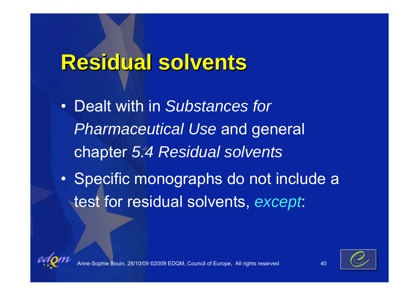### **Residual solvents Residual solvents**

- Dealt with in *Substances for Pharmaceutical Use* and general chapter *5.4 Residual solvents*
- $\bullet$ • Specific monographs do not include a test for residual solvents, *except*:

![](_page_40_Picture_3.jpeg)

![](_page_40_Picture_4.jpeg)

Bouin, 28/10/09 ©2009 EDQM, Council of Europe, All rights reserved 40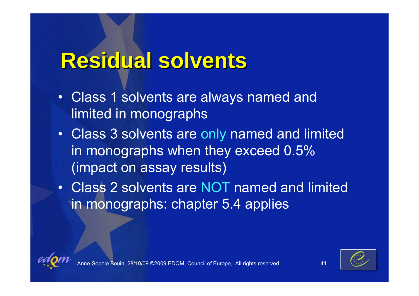### **Residual solvents Residual solvents**

- $\bullet$  Class 1 solvents are always named and limited in monographs
- Class 3 solvents are only named and limited in monographs when they exceed 0.5% (impact on assay results)
- $\bullet$  Class 2 solvents are NOT named and limited in monographs: chapter 5.4 applies

![](_page_41_Picture_4.jpeg)

![](_page_41_Picture_5.jpeg)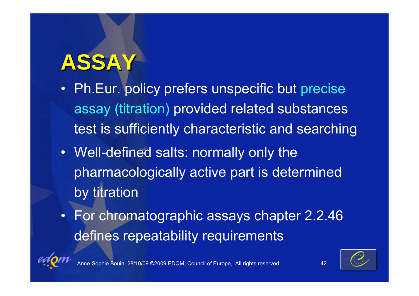# **ASSAY**

- • Ph.Eur. policy prefers unspecific but precise assay (titration) provided related substances test is sufficiently characteristic and searching
- Well-defined salts: normally only the pharmacologically active part is determined by titration
- For chromatographic assays chapter 2.2.46 defines repeatability requirements

![](_page_42_Picture_4.jpeg)

Anne-Sophie Bouin, 28/10/09 ©2009 EDQM, Council of Europe, All rights reserved 42

![](_page_42_Picture_6.jpeg)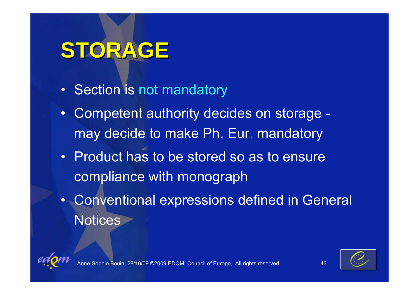# **STORAGE STORAGE**

- Section is not mandatory
- • Competent authority decides on storage may decide to make Ph. Eur. mandatory
- Product has to be stored so as to ensure compliance with monograph
- Conventional expressions defined in General **Notices**

![](_page_43_Picture_5.jpeg)

![](_page_43_Picture_6.jpeg)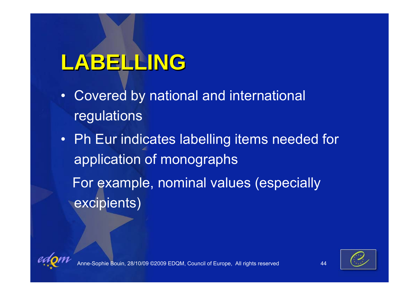# **LABELLING LABELLING**

- • Covered by national and international regulations
- Ph Eur indicates labelling items needed for application of monographs For example, nominal values (especially excipients)

![](_page_44_Picture_3.jpeg)

![](_page_44_Picture_4.jpeg)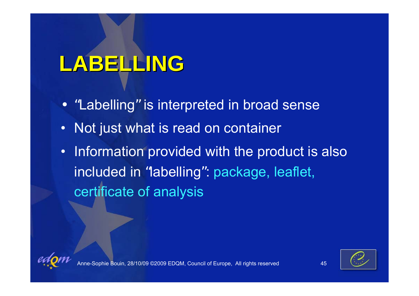# **LABELLING LABELLING**

- "Labelling" is interpreted in broad sense
- $\bullet$ Not just what is read on container
- • Information provided with the product is also included in "labelling ": package, leaflet, certificate of analysis

![](_page_45_Picture_4.jpeg)

![](_page_45_Picture_5.jpeg)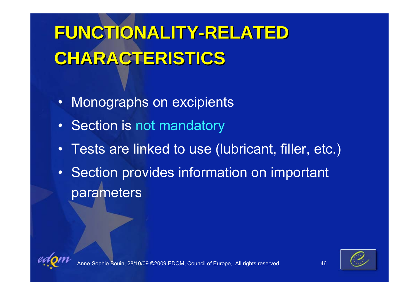# **FUNCTIONALITY-RELATED FUNCTIONALITY-RELATED CHARACTERISTICS CHARACTERISTICS**

- $\bullet$ Monographs on excipients
- •Section is not mandatory
- $\bullet$ Tests are linked to use (lubricant, filler, etc.)
- • Section provides information on important parameters

![](_page_46_Picture_5.jpeg)

![](_page_46_Picture_6.jpeg)